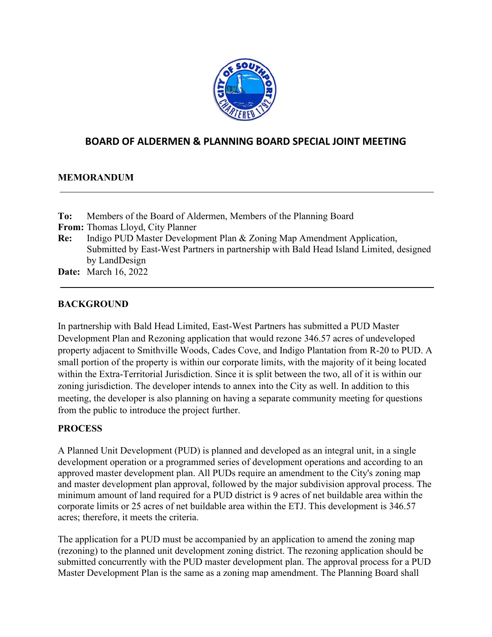

# **BOARD OF ALDERMEN & PLANNING BOARD SPECIAL JOINT MEETING**

## **MEMORANDUM**

| To: | Members of the Board of Aldermen, Members of the Planning Board                        |
|-----|----------------------------------------------------------------------------------------|
|     | <b>From:</b> Thomas Lloyd, City Planner                                                |
| Re: | Indigo PUD Master Development Plan & Zoning Map Amendment Application,                 |
|     | Submitted by East-West Partners in partnership with Bald Head Island Limited, designed |
|     | by LandDesign                                                                          |
|     | <b>Date:</b> March 16, 2022                                                            |

### **BACKGROUND**

In partnership with Bald Head Limited, East-West Partners has submitted a PUD Master Development Plan and Rezoning application that would rezone 346.57 acres of undeveloped property adjacent to Smithville Woods, Cades Cove, and Indigo Plantation from R-20 to PUD. A small portion of the property is within our corporate limits, with the majority of it being located within the Extra-Territorial Jurisdiction. Since it is split between the two, all of it is within our zoning jurisdiction. The developer intends to annex into the City as well. In addition to this meeting, the developer is also planning on having a separate community meeting for questions from the public to introduce the project further.

#### **PROCESS**

A Planned Unit Development (PUD) is planned and developed as an integral unit, in a single development operation or a programmed series of development operations and according to an approved master development plan. All PUDs require an amendment to the City's zoning map and master development plan approval, followed by the major subdivision approval process. The minimum amount of land required for a PUD district is 9 acres of net buildable area within the corporate limits or 25 acres of net buildable area within the ETJ. This development is 346.57 acres; therefore, it meets the criteria.

The application for a PUD must be accompanied by an application to amend the zoning map (rezoning) to the planned unit development zoning district. The rezoning application should be submitted concurrently with the PUD master development plan. The approval process for a PUD Master Development Plan is the same as a zoning map amendment. The Planning Board shall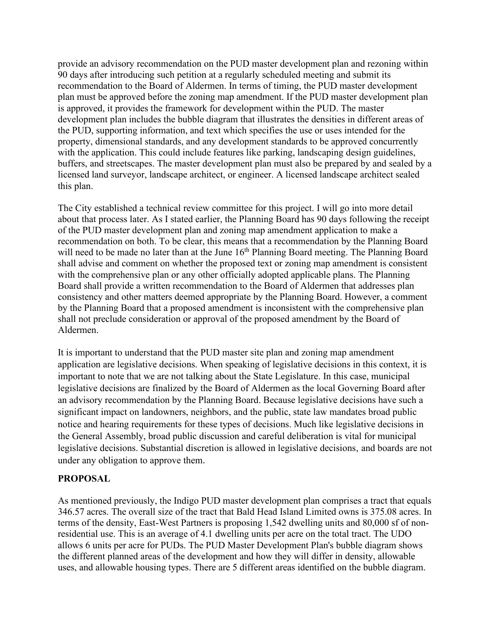provide an advisory recommendation on the PUD master development plan and rezoning within 90 days after introducing such petition at a regularly scheduled meeting and submit its recommendation to the Board of Aldermen. In terms of timing, the PUD master development plan must be approved before the zoning map amendment. If the PUD master development plan is approved, it provides the framework for development within the PUD. The master development plan includes the bubble diagram that illustrates the densities in different areas of the PUD, supporting information, and text which specifies the use or uses intended for the property, dimensional standards, and any development standards to be approved concurrently with the application. This could include features like parking, landscaping design guidelines, buffers, and streetscapes. The master development plan must also be prepared by and sealed by a licensed land surveyor, landscape architect, or engineer. A licensed landscape architect sealed this plan.

The City established a technical review committee for this project. I will go into more detail about that process later. As I stated earlier, the Planning Board has 90 days following the receipt of the PUD master development plan and zoning map amendment application to make a recommendation on both. To be clear, this means that a recommendation by the Planning Board will need to be made no later than at the June  $16<sup>th</sup>$  Planning Board meeting. The Planning Board shall advise and comment on whether the proposed text or zoning map amendment is consistent with the comprehensive plan or any other officially adopted applicable plans. The Planning Board shall provide a written recommendation to the Board of Aldermen that addresses plan consistency and other matters deemed appropriate by the Planning Board. However, a comment by the Planning Board that a proposed amendment is inconsistent with the comprehensive plan shall not preclude consideration or approval of the proposed amendment by the Board of Aldermen.

It is important to understand that the PUD master site plan and zoning map amendment application are legislative decisions. When speaking of legislative decisions in this context, it is important to note that we are not talking about the State Legislature. In this case, municipal legislative decisions are finalized by the Board of Aldermen as the local Governing Board after an advisory recommendation by the Planning Board. Because legislative decisions have such a significant impact on landowners, neighbors, and the public, state law mandates broad public notice and hearing requirements for these types of decisions. Much like legislative decisions in the General Assembly, broad public discussion and careful deliberation is vital for municipal legislative decisions. Substantial discretion is allowed in legislative decisions, and boards are not under any obligation to approve them.

## **PROPOSAL**

As mentioned previously, the Indigo PUD master development plan comprises a tract that equals 346.57 acres. The overall size of the tract that Bald Head Island Limited owns is 375.08 acres. In terms of the density, East-West Partners is proposing 1,542 dwelling units and 80,000 sf of nonresidential use. This is an average of 4.1 dwelling units per acre on the total tract. The UDO allows 6 units per acre for PUDs. The PUD Master Development Plan's bubble diagram shows the different planned areas of the development and how they will differ in density, allowable uses, and allowable housing types. There are 5 different areas identified on the bubble diagram.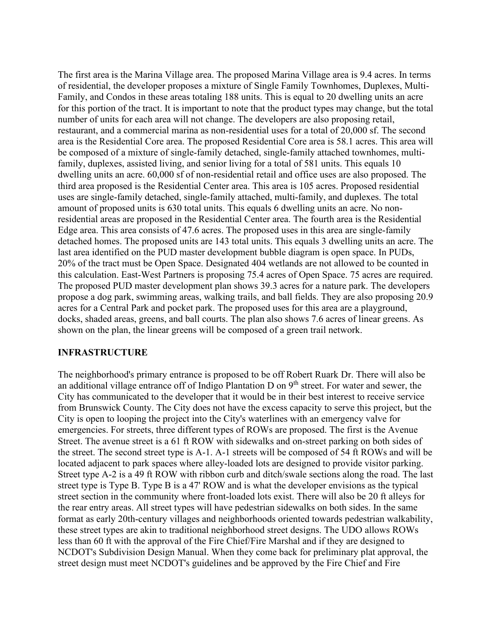The first area is the Marina Village area. The proposed Marina Village area is 9.4 acres. In terms of residential, the developer proposes a mixture of Single Family Townhomes, Duplexes, Multi-Family, and Condos in these areas totaling 188 units. This is equal to 20 dwelling units an acre for this portion of the tract. It is important to note that the product types may change, but the total number of units for each area will not change. The developers are also proposing retail, restaurant, and a commercial marina as non-residential uses for a total of 20,000 sf. The second area is the Residential Core area. The proposed Residential Core area is 58.1 acres. This area will be composed of a mixture of single-family detached, single-family attached townhomes, multifamily, duplexes, assisted living, and senior living for a total of 581 units. This equals 10 dwelling units an acre. 60,000 sf of non-residential retail and office uses are also proposed. The third area proposed is the Residential Center area. This area is 105 acres. Proposed residential uses are single-family detached, single-family attached, multi-family, and duplexes. The total amount of proposed units is 630 total units. This equals 6 dwelling units an acre. No nonresidential areas are proposed in the Residential Center area. The fourth area is the Residential Edge area. This area consists of 47.6 acres. The proposed uses in this area are single-family detached homes. The proposed units are 143 total units. This equals 3 dwelling units an acre. The last area identified on the PUD master development bubble diagram is open space. In PUDs, 20% of the tract must be Open Space. Designated 404 wetlands are not allowed to be counted in this calculation. East-West Partners is proposing 75.4 acres of Open Space. 75 acres are required. The proposed PUD master development plan shows 39.3 acres for a nature park. The developers propose a dog park, swimming areas, walking trails, and ball fields. They are also proposing 20.9 acres for a Central Park and pocket park. The proposed uses for this area are a playground, docks, shaded areas, greens, and ball courts. The plan also shows 7.6 acres of linear greens. As shown on the plan, the linear greens will be composed of a green trail network.

#### **INFRASTRUCTURE**

The neighborhood's primary entrance is proposed to be off Robert Ruark Dr. There will also be an additional village entrance off of Indigo Plantation D on 9<sup>th</sup> street. For water and sewer, the City has communicated to the developer that it would be in their best interest to receive service from Brunswick County. The City does not have the excess capacity to serve this project, but the City is open to looping the project into the City's waterlines with an emergency valve for emergencies. For streets, three different types of ROWs are proposed. The first is the Avenue Street. The avenue street is a 61 ft ROW with sidewalks and on-street parking on both sides of the street. The second street type is A-1. A-1 streets will be composed of 54 ft ROWs and will be located adjacent to park spaces where alley-loaded lots are designed to provide visitor parking. Street type A-2 is a 49 ft ROW with ribbon curb and ditch/swale sections along the road. The last street type is Type B. Type B is a 47' ROW and is what the developer envisions as the typical street section in the community where front-loaded lots exist. There will also be 20 ft alleys for the rear entry areas. All street types will have pedestrian sidewalks on both sides. In the same format as early 20th-century villages and neighborhoods oriented towards pedestrian walkability, these street types are akin to traditional neighborhood street designs. The UDO allows ROWs less than 60 ft with the approval of the Fire Chief/Fire Marshal and if they are designed to NCDOT's Subdivision Design Manual. When they come back for preliminary plat approval, the street design must meet NCDOT's guidelines and be approved by the Fire Chief and Fire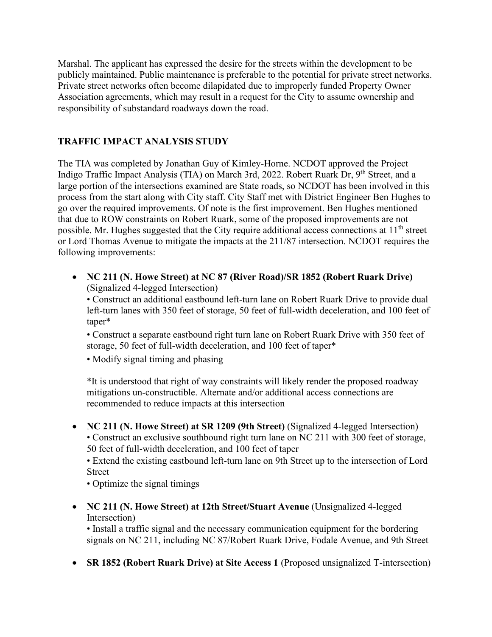Marshal. The applicant has expressed the desire for the streets within the development to be publicly maintained. Public maintenance is preferable to the potential for private street networks. Private street networks often become dilapidated due to improperly funded Property Owner Association agreements, which may result in a request for the City to assume ownership and responsibility of substandard roadways down the road.

# **TRAFFIC IMPACT ANALYSIS STUDY**

The TIA was completed by Jonathan Guy of Kimley-Horne. NCDOT approved the Project Indigo Traffic Impact Analysis (TIA) on March 3rd, 2022. Robert Ruark Dr, 9<sup>th</sup> Street, and a large portion of the intersections examined are State roads, so NCDOT has been involved in this process from the start along with City staff. City Staff met with District Engineer Ben Hughes to go over the required improvements. Of note is the first improvement. Ben Hughes mentioned that due to ROW constraints on Robert Ruark, some of the proposed improvements are not possible. Mr. Hughes suggested that the City require additional access connections at  $11<sup>th</sup>$  street or Lord Thomas Avenue to mitigate the impacts at the 211/87 intersection. NCDOT requires the following improvements:

• **NC 211 (N. Howe Street) at NC 87 (River Road)/SR 1852 (Robert Ruark Drive)**  (Signalized 4-legged Intersection)

• Construct an additional eastbound left-turn lane on Robert Ruark Drive to provide dual left-turn lanes with 350 feet of storage, 50 feet of full-width deceleration, and 100 feet of taper\*

• Construct a separate eastbound right turn lane on Robert Ruark Drive with 350 feet of storage, 50 feet of full-width deceleration, and 100 feet of taper\*

• Modify signal timing and phasing

\*It is understood that right of way constraints will likely render the proposed roadway mitigations un-constructible. Alternate and/or additional access connections are recommended to reduce impacts at this intersection

• **NC 211 (N. Howe Street) at SR 1209 (9th Street)** (Signalized 4-legged Intersection) • Construct an exclusive southbound right turn lane on NC 211 with 300 feet of storage, 50 feet of full-width deceleration, and 100 feet of taper

• Extend the existing eastbound left-turn lane on 9th Street up to the intersection of Lord Street

• Optimize the signal timings

• **NC 211 (N. Howe Street) at 12th Street/Stuart Avenue (Unsignalized 4-legged)** Intersection)

• Install a traffic signal and the necessary communication equipment for the bordering signals on NC 211, including NC 87/Robert Ruark Drive, Fodale Avenue, and 9th Street

• **SR 1852 (Robert Ruark Drive) at Site Access 1 (Proposed unsignalized T-intersection)**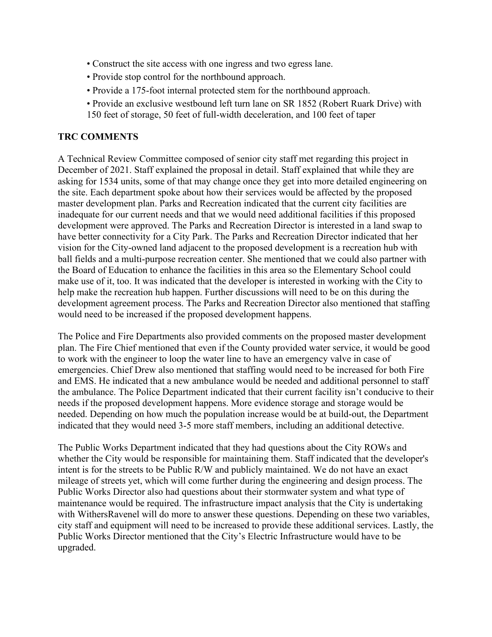- Construct the site access with one ingress and two egress lane.
- Provide stop control for the northbound approach.
- Provide a 175-foot internal protected stem for the northbound approach.
- Provide an exclusive westbound left turn lane on SR 1852 (Robert Ruark Drive) with 150 feet of storage, 50 feet of full-width deceleration, and 100 feet of taper

### **TRC COMMENTS**

A Technical Review Committee composed of senior city staff met regarding this project in December of 2021. Staff explained the proposal in detail. Staff explained that while they are asking for 1534 units, some of that may change once they get into more detailed engineering on the site. Each department spoke about how their services would be affected by the proposed master development plan. Parks and Recreation indicated that the current city facilities are inadequate for our current needs and that we would need additional facilities if this proposed development were approved. The Parks and Recreation Director is interested in a land swap to have better connectivity for a City Park. The Parks and Recreation Director indicated that her vision for the City-owned land adjacent to the proposed development is a recreation hub with ball fields and a multi-purpose recreation center. She mentioned that we could also partner with the Board of Education to enhance the facilities in this area so the Elementary School could make use of it, too. It was indicated that the developer is interested in working with the City to help make the recreation hub happen. Further discussions will need to be on this during the development agreement process. The Parks and Recreation Director also mentioned that staffing would need to be increased if the proposed development happens.

The Police and Fire Departments also provided comments on the proposed master development plan. The Fire Chief mentioned that even if the County provided water service, it would be good to work with the engineer to loop the water line to have an emergency valve in case of emergencies. Chief Drew also mentioned that staffing would need to be increased for both Fire and EMS. He indicated that a new ambulance would be needed and additional personnel to staff the ambulance. The Police Department indicated that their current facility isn't conducive to their needs if the proposed development happens. More evidence storage and storage would be needed. Depending on how much the population increase would be at build-out, the Department indicated that they would need 3-5 more staff members, including an additional detective.

The Public Works Department indicated that they had questions about the City ROWs and whether the City would be responsible for maintaining them. Staff indicated that the developer's intent is for the streets to be Public R/W and publicly maintained. We do not have an exact mileage of streets yet, which will come further during the engineering and design process. The Public Works Director also had questions about their stormwater system and what type of maintenance would be required. The infrastructure impact analysis that the City is undertaking with WithersRavenel will do more to answer these questions. Depending on these two variables, city staff and equipment will need to be increased to provide these additional services. Lastly, the Public Works Director mentioned that the City's Electric Infrastructure would have to be upgraded.